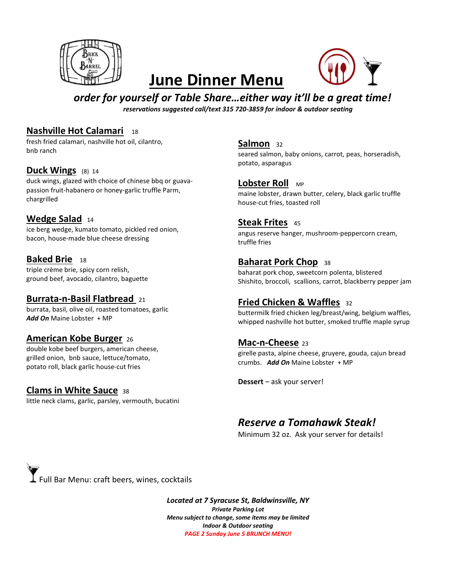

# June Dinner Menu



### order for yourself or Table Share…either way it'll be a great time!

reservations suggested call/text 315 720-3859 for indoor & outdoor seating

#### Nashville Hot Calamari 18

fresh fried calamari, nashville hot oil, cilantro, bnb ranch

#### Duck Wings (8) 14

duck wings, glazed with choice of chinese bbq or guavapassion fruit-habanero or honey-garlic truffle Parm, chargrilled

#### Wedge Salad 14

ice berg wedge, kumato tomato, pickled red onion, bacon, house-made blue cheese dressing

Baked Brie 18 triple crème brie, spicy corn relish, ground beef, avocado, cilantro, baguette

### Burrata-n-Basil Flatbread 21

burrata, basil, olive oil, roasted tomatoes, garlic Add On Maine Lobster + MP

#### American Kobe Burger <sup>26</sup>

double kobe beef burgers, american cheese, grilled onion, bnb sauce, lettuce/tomato, potato roll, black garlic house-cut fries

#### Clams in White Sauce 38

little neck clams, garlic, parsley, vermouth, bucatini

#### Salmon 32

seared salmon, baby onions, carrot, peas, horseradish, potato, asparagus

#### Lobster Roll MP

maine lobster, drawn butter, celery, black garlic truffle house-cut fries, toasted roll

#### Steak Frites 45

angus reserve hanger, mushroom-peppercorn cream, truffle fries

#### Baharat Pork Chop 38

baharat pork chop, sweetcorn polenta, blistered Shishito, broccoli, scallions, carrot, blackberry pepper jam

### Fried Chicken & Waffles <sup>32</sup>

buttermilk fried chicken leg/breast/wing, belgium waffles, whipped nashville hot butter, smoked truffle maple syrup

#### Mac-n-Cheese 23

girelle pasta, alpine cheese, gruyere, gouda, cajun bread crumbs. Add On Maine Lobster + MP

Dessert – ask your server!

### Reserve a Tomahawk Steak!

Minimum 32 oz. Ask your server for details!

 ${\bf I}$  Full Bar Menu: craft beers, wines, cocktails

Located at 7 Syracuse St, Baldwinsville, NY Private Parking Lot Menu subject to change, some items may be limited Indoor & Outdoor seating PAGE 2 Sunday June 5 BRUNCH MENU!